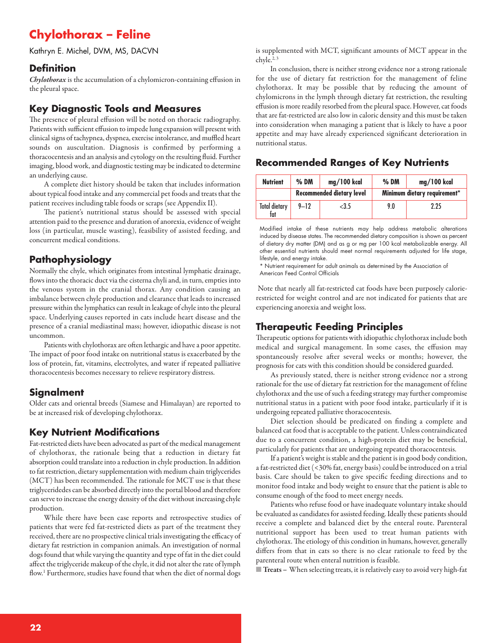# **Chylothorax – Feline**

Kathryn E. Michel, DVM, MS, DACVN

#### **Definition**

*Chylothorax* is the accumulation of a chylomicron-containing effusion in the pleural space.

### **Key Diagnostic Tools and Measures**

The presence of pleural effusion will be noted on thoracic radiography. Patients with sufficient effusion to impede lung expansion will present with clinical signs of tachypnea, dyspnea, exercise intolerance, and muffled heart sounds on auscultation. Diagnosis is confirmed by performing a thoracocentesis and an analysis and cytology on the resulting fluid. Further imaging, blood work, and diagnostic testing may be indicated to determine an underlying cause.

A complete diet history should be taken that includes information about typical food intake and any commercial pet foods and treats that the patient receives including table foods or scraps (see Appendix II).

The patient's nutritional status should be assessed with special attention paid to the presence and duration of anorexia, evidence of weight loss (in particular, muscle wasting), feasibility of assisted feeding, and concurrent medical conditions.

### **Pathophysiology**

Normally the chyle, which originates from intestinal lymphatic drainage, flows into the thoracic duct via the cisterna chyli and, in turn, empties into the venous system in the cranial thorax. Any condition causing an imbalance between chyle production and clearance that leads to increased pressure within the lymphatics can result in leakage of chyle into the pleural space. Underlying causes reported in cats include heart disease and the presence of a cranial mediastinal mass; however, idiopathic disease is not uncommon.

Patients with chylothorax are often lethargic and have a poor appetite. The impact of poor food intake on nutritional status is exacerbated by the loss of protein, fat, vitamins, electrolytes, and water if repeated palliative thoracocentesis becomes necessary to relieve respiratory distress.

### **Signalment**

Older cats and oriental breeds (Siamese and Himalayan) are reported to be at increased risk of developing chylothorax.

### **Key Nutrient Modifications**

Fat-restricted diets have been advocated as part of the medical management of chylothorax, the rationale being that a reduction in dietary fat absorption could translate into a reduction in chyle production. In addition to fat restriction, dietary supplementation with medium chain triglycerides (MCT) has been recommended. The rationale for MCT use is that these triglyceridedes can be absorbed directly into the portal blood and therefore can serve to increase the energy density of the diet without increasing chyle production.

While there have been case reports and retrospective studies of patients that were fed fat-restricted diets as part of the treatment they received, there are no prospective clinical trials investigating the efficacy of dietary fat restriction in companion animals. An investigation of normal dogs found that while varying the quantity and type of fat in the diet could affect the triglyceride makeup of the chyle, it did not alter the rate of lymph flow. <sup>1</sup> Furthermore, studies have found that when the diet of normal dogs

is supplemented with MCT, significant amounts of MCT appear in the chyle. 2, 3

In conclusion, there is neither strong evidence nor a strong rationale for the use of dietary fat restriction for the management of feline chylothorax. It may be possible that by reducing the amount of chylomicrons in the lymph through dietary fat restriction, the resulting effusion is more readily resorbed from the pleural space. However, cat foods that are fat-restricted are also low in caloric density and this must be taken into consideration when managing a patient that is likely to have a poor appetite and may have already experienced significant deterioration in nutritional status.

### **Recommended Ranges of Key Nutrients**

| <b>Nutrient</b>             | $%$ DM                           | mg/100 kcal | $%$ DM                       | mg/100 kcal |
|-----------------------------|----------------------------------|-------------|------------------------------|-------------|
|                             | <b>Recommended dietary level</b> |             | Minimum dietary requirement* |             |
| <b>Total dietary</b><br>fat | $9 - 12$                         | $<$ 3.5     | 9.0                          | 2.25        |

Modified intake of these nutrients may help address metabolic alterations induced by disease states. The recommended dietary composition is shown as percent of dietary dry matter (DM) and as g or mg per 100 kcal metabolizable energy. All other essential nutrients should meet normal requirements adjusted for life stage, lifestyle, and energy intake.

\* Nutrient requirement for adult animals as determined by the Association of American Feed Control Officials

Note that nearly all fat-restricted cat foods have been purposely calorierestricted for weight control and are not indicated for patients that are experiencing anorexia and weight loss.

# **Therapeutic Feeding Principles**

Therapeutic options for patients with idiopathic chylothorax include both medical and surgical management. In some cases, the effusion may spontaneously resolve after several weeks or months; however, the prognosis for cats with this condition should be considered guarded.

As previously stated, there is neither strong evidence nor a strong rationale for the use of dietary fat restriction for the management of feline chylothorax and the use of such a feeding strategy may further compromise nutritional status in a patient with poor food intake, particularly if it is undergoing repeated palliative thoracocentesis.

Diet selection should be predicated on finding a complete and balanced cat food that is acceptable to the patient. Unless contraindicated due to a concurrent condition, a high-protein diet may be beneficial, particularly for patients that are undergoing repeated thoracocentesis.

Ifa patient'sweight is stableand the patient is in good body condition, a fat-restricted diet (<30% fat, energy basis) could be introduced on a trial basis. Care should be taken to give specific feeding directions and to monitor food intake and body weight to ensure that the patient is able to consume enough of the food to meet energy needs.

Patients who refuse food or have inadequate voluntary intake should be evaluated as candidates for assisted feeding. Ideally these patients should receive a complete and balanced diet by the enteral route. Parenteral nutritional support has been used to treat human patients with chylothorax. The etiology of this condition in humans, however, generally differs from that in cats so there is no clear rationale to feed by the parenteral route when enteral nutrition is feasible.

■ **Treats –** When selecting treats, it isrelatively easy to avoid very high-fat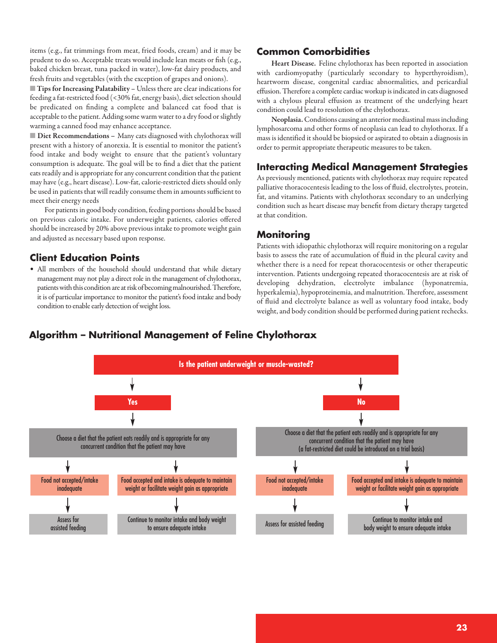items (e.g., fat trimmings from meat, fried foods, cream) and it may be prudent to do so. Acceptable treats would include lean meats or fish (e.g., baked chicken breast, tuna packed in water), low-fat dairy products, and fresh fruits and vegetables (with the exception of grapes and onions).

■ **Tips for Increasing Palatability –** Unless thereareclear indications for feeding a fat-restricted food (<30% fat, energy basis), diet selection should be predicated on finding a complete and balanced cat food that is acceptable to the patient. Adding some warm water to a dry food or slightly warming a canned food may enhance acceptance.

■ **Diet Recommendations** - Many cats diagnosed with chylothorax will present with a history of anorexia. It is essential to monitor the patient's food intake and body weight to ensure that the patient's voluntary consumption is adequate. The goal will be to find a diet that the patient eats readily and is appropriate for any concurrent condition that the patient may have (e.g., heart disease). Low-fat, calorie-restricted diets should only be used in patients that will readily consume them in amounts sufficient to meet their energy needs

For patients in good body condition, feeding portions should be based on previous caloric intake. For underweight patients, calories offered should be increased by 20% above previous intake to promote weight gain and adjusted as necessary based upon response.

### **Client Education Points**

• All members of the household should understand that while dietary management may not play a direct role in the management of chylothorax, patients with this condition are at risk of becoming malnourished. Therefore, it is of particular importance to monitor the patient's food intake and body condition to enable early detection of weight loss.

### **Common Comorbidities**

**Heart Disease.** Feline chylothorax has been reported in association with cardiomyopathy (particularly secondary to hyperthyroidism), heartworm disease, congenital cardiac abnormalities, and pericardial effusion. Therefore a complete cardiac workup is indicated in cats diagnosed with a chylous pleural effusion as treatment of the underlying heart condition could lead to resolution of the chylothorax.

**Neoplasia.** Conditionscausing an anterior mediastinal massincluding lymphosarcoma and other forms of neoplasia can lead to chylothorax. If a mass is identified it should be biopsied or aspirated to obtain a diagnosis in order to permit appropriate therapeutic measures to be taken.

### **Interacting Medical Management Strategies**

As previously mentioned, patients with chylothorax may require repeated palliative thoracocentesis leading to the loss of fluid, electrolytes, protein, fat, and vitamins. Patients with chylothorax secondary to an underlying condition such as heart disease may benefit from dietary therapy targeted at that condition.

### **Monitoring**

Patients with idiopathic chylothorax will require monitoring on a regular basis to assess the rate of accumulation of fluid in the pleural cavity and whether there is a need for repeat thoracocentesis or other therapeutic intervention. Patients undergoing repeated thoracocentesis are at risk of developing dehydration, electrolyte imbalance (hyponatremia, hyperkalemia), hypoproteinemia, and malnutrition. Therefore, assessment of fluid and electrolyte balance as well as voluntary food intake, body weight, and body condition should be performed during patient rechecks.

### **Algorithm – Nutritional Management of Feline Chylothorax**

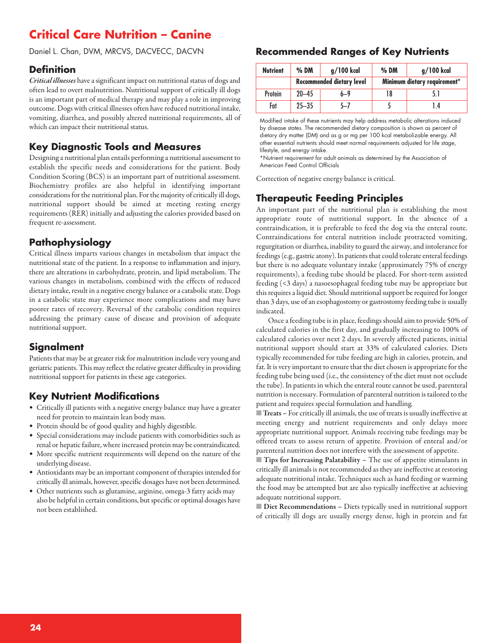# **Critical Care Nutrition – Canine**

Daniel L. Chan, DVM, MRCVS, DACVECC, DACVN

#### **Definition**

*Critical illnesses* have a significant impact on nutritional status of dogs and often lead to overt malnutrition. Nutritional support of critically ill dogs is an important part of medical therapy and may play a role in improving outcome. Dogs with critical illnesses often have reduced nutritional intake, vomiting, diarrhea, and possibly altered nutritional requirements, all of which can impact their nutritional status.

# **Key Diagnostic Tools and Measures**

Designing a nutritional plan entails performing a nutritional assessment to establish the specific needs and considerations for the patient. Body Condition Scoring (BCS) is an important part of nutritional assessment. Biochemistry profiles are also helpful in identifying important considerations for the nutritional plan. For the majority of critically ill dogs, nutritional support should be aimed at meeting resting energy requirements (RER) initially and adjusting the calories provided based on frequent re-assessment.

### **Pathophysiology**

Critical illness imparts various changes in metabolism that impact the nutritional state of the patient. In a response to inflammation and injury, there are alterations in carbohydrate, protein, and lipid metabolism. The various changes in metabolism, combined with the effects of reduced dietary intake, result in a negative energy balance or a catabolic state. Dogs in a catabolic state may experience more complications and may have poorer rates of recovery. Reversal of the catabolic condition requires addressing the primary cause of disease and provision of adequate nutritional support.

### **Signalment**

Patients that may be at greater risk for malnutrition include very young and geriatric patients. This may reflect the relative greater difficulty in providing nutritional support for patients in these age categories.

# **Key Nutrient Modifications**

- Critically ill patients with a negative energy balance may have a greater need for protein to maintain lean body mass.
- Protein should be of good quality and highly digestible.
- Special considerations may include patients with comorbidities such as renal or hepatic failure, where increased protein may be contraindicated.
- More specific nutrient requirements will depend on the nature of the underlying disease.
- Antioxidants may be an important component of therapies intended for critically ill animals, however, specific dosages have not been determined.
- Other nutrients such as glutamine, arginine, omega-3 fatty acids may also be helpful in certain conditions, but specific or optimal dosages have not been established.

# **Recommended Ranges of Key Nutrients**

| <b>Nutrient</b> | $%$ DM                           | g/100 kcal | $%$ DM                       | g/100 kcal |
|-----------------|----------------------------------|------------|------------------------------|------------|
|                 | <b>Recommended dietary level</b> |            | Minimum dietary requirement* |            |
| Protein         | $20 - 45$                        | $6 - 9$    | 18                           | 5.1        |
| Fat             | $25 - 35$                        | 5—7        |                              | 1.4        |

Modified intake of these nutrients may help address metabolic alterations induced by disease states. The recommended dietary composition is shown as percent of dietary dry matter (DM) and as g or mg per 100 kcal metabolizable energy. All other essential nutrients should meet normal requirements adjusted for life stage, lifestyle, and energy intake.

\*Nutrient requirement for adult animals as determined by the Association of American Feed Control Officials

Correction of negative energy balance is critical.

# **Therapeutic Feeding Principles**

An important part of the nutritional plan is establishing the most appropriate route of nutritional support. In the absence of a contraindication, it is preferable to feed the dog via the enteral route. Contraindications for enteral nutrition include protracted vomiting, regurgitation or diarrhea, inability to guard the airway, and intolerance for feedings (e.g., gastric atony). In patients that could tolerate enteral feedings but there is no adequate voluntary intake (approximately 75% of energy requirements), a feeding tube should be placed. For short-term assisted feeding (<3 days) a nasoesophageal feeding tube may be appropriate but this requires a liquid diet. Should nutritional support be required for longer than 3 days, use of an esophagostomy or gastrostomy feeding tube is usually indicated.

Once a feeding tube is in place, feedings should aim to provide 50% of calculated calories in the first day, and gradually increasing to 100% of calculated calories over next 2 days. In severely affected patients, initial nutritional support should start at 33% of calculated calories. Diets typically recommended for tube feeding are high in calories, protein, and fat. It is very important to ensure that the diet chosen is appropriate for the feeding tube being used (i.e., the consistency of the diet must not occlude the tube). In patients in which the enteral route cannot be used, parenteral nutrition is necessary. Formulation of parenteral nutrition is tailored to the patient and requires special formulation and handling.

■ **Treats** – For critically ill animals, the use of treats is usually ineffective at meeting energy and nutrient requirements and only delays more appropriate nutritional support. Animals receiving tube feedings may be offered treats to assess return of appetite. Provision of enteral and/or parenteral nutrition does not interfere with the assessment of appetite.

■ **Tips for Increasing Palatability –** The use of appetite stimulants in critically ill animals is not recommended as they are ineffective at restoring adequate nutritional intake. Techniques such as hand feeding or warming the food may be attempted but are also typically ineffective at achieving adequate nutritional support.

■ **Diet Recommendations** − Diets typically used in nutritional support of critically ill dogs are usually energy dense, high in protein and fat